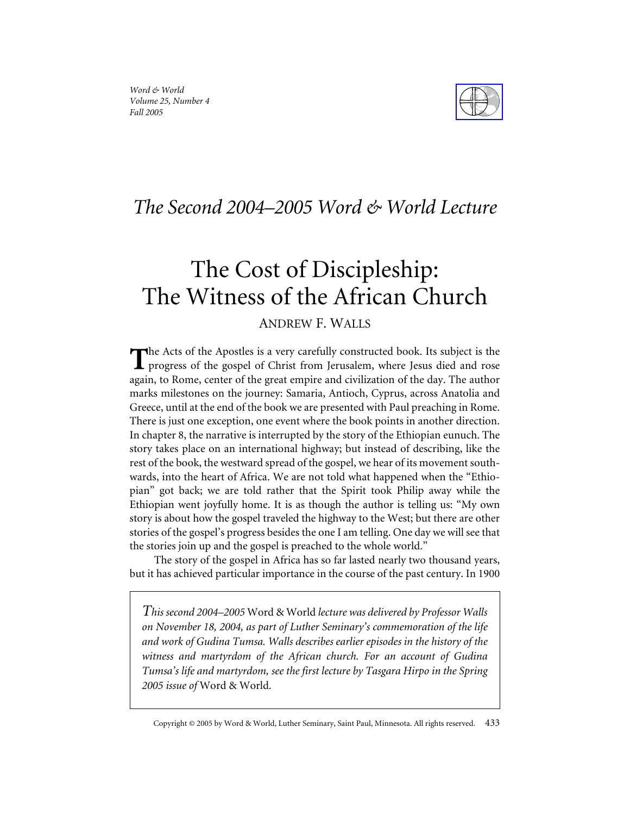

## *The Second 2004–2005 Word & World Lecture*

# The Cost of Discipleship: The Witness of the African Church

### ANDREW F. WALLS

**h** The Acts of the Apostles is a very carefully constructed book. Its subject is the progress of the gospel of Christ from Jerusalem, where Jesus died and rose again, to Rome, center of the great empire and civilization of the day. The author marks milestones on the journey: Samaria, Antioch, Cyprus, across Anatolia and Greece, until at the end of the book we are presented with Paul preaching in Rome. There is just one exception, one event where the book points in another direction. In chapter 8, the narrative is interrupted by the story of the Ethiopian eunuch. The story takes place on an international highway; but instead of describing, like the rest of the book, the westward spread of the gospel, we hear of its movement southwards, into the heart of Africa. We are not told what happened when the "Ethiopian" got back; we are told rather that the Spirit took Philip away while the Ethiopian went joyfully home. It is as though the author is telling us: "My own story is about how the gospel traveled the highway to the West; but there are other stories of the gospel's progress besides the one I am telling. One day we will see that the stories join up and the gospel is preached to the whole world."

The story of the gospel in Africa has so far lasted nearly two thousand years, but it has achieved particular importance in the course of the past century. In 1900

*This second 2004–2005* Word & World *lecture was delivered by Professor Walls on November 18, 2004, as part of Luther Seminary's commemoration of the life and work of Gudina Tumsa. Walls describes earlier episodes in the history of the witness and martyrdom of the African church. For an account of Gudina Tumsa's life and martyrdom, see the first lecture by Tasgara Hirpo in the Spring 2005 issue of* Word & World*.*

Copyright © 2005 by Word & World, Luther Seminary, Saint Paul, Minnesota. All rights reserved. 433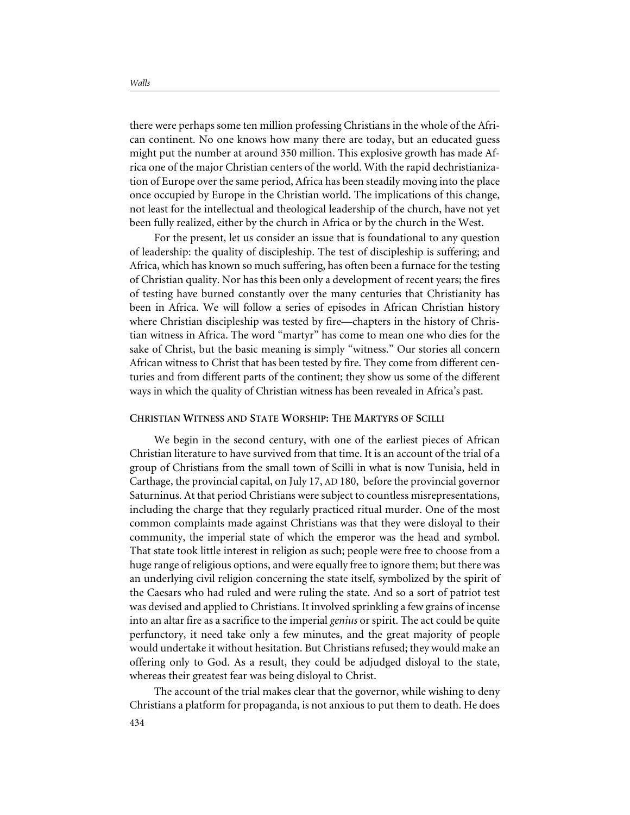there were perhaps some ten million professing Christians in the whole of the African continent. No one knows how many there are today, but an educated guess might put the number at around 350 million. This explosive growth has made Africa one of the major Christian centers of the world. With the rapid dechristianization of Europe over the same period, Africa has been steadily moving into the place once occupied by Europe in the Christian world. The implications of this change, not least for the intellectual and theological leadership of the church, have not yet been fully realized, either by the church in Africa or by the church in the West.

For the present, let us consider an issue that is foundational to any question of leadership: the quality of discipleship. The test of discipleship is suffering; and Africa, which has known so much suffering, has often been a furnace for the testing of Christian quality. Nor has this been only a development of recent years; the fires of testing have burned constantly over the many centuries that Christianity has been in Africa. We will follow a series of episodes in African Christian history where Christian discipleship was tested by fire—chapters in the history of Christian witness in Africa. The word "martyr" has come to mean one who dies for the sake of Christ, but the basic meaning is simply "witness." Our stories all concern African witness to Christ that has been tested by fire. They come from different centuries and from different parts of the continent; they show us some of the different ways in which the quality of Christian witness has been revealed in Africa's past.

#### **CHRISTIAN WITNESS AND STATE WORSHIP: THE MARTYRS OF SCILLI**

We begin in the second century, with one of the earliest pieces of African Christian literature to have survived from that time. It is an account of the trial of a group of Christians from the small town of Scilli in what is now Tunisia, held in Carthage, the provincial capital, on July 17, AD 180, before the provincial governor Saturninus. At that period Christians were subject to countless misrepresentations, including the charge that they regularly practiced ritual murder. One of the most common complaints made against Christians was that they were disloyal to their community, the imperial state of which the emperor was the head and symbol. That state took little interest in religion as such; people were free to choose from a huge range of religious options, and were equally free to ignore them; but there was an underlying civil religion concerning the state itself, symbolized by the spirit of the Caesars who had ruled and were ruling the state. And so a sort of patriot test was devised and applied to Christians. It involved sprinkling a few grains of incense into an altar fire as a sacrifice to the imperial *genius* or spirit. The act could be quite perfunctory, it need take only a few minutes, and the great majority of people would undertake it without hesitation. But Christians refused; they would make an offering only to God. As a result, they could be adjudged disloyal to the state, whereas their greatest fear was being disloyal to Christ.

The account of the trial makes clear that the governor, while wishing to deny Christians a platform for propaganda, is not anxious to put them to death. He does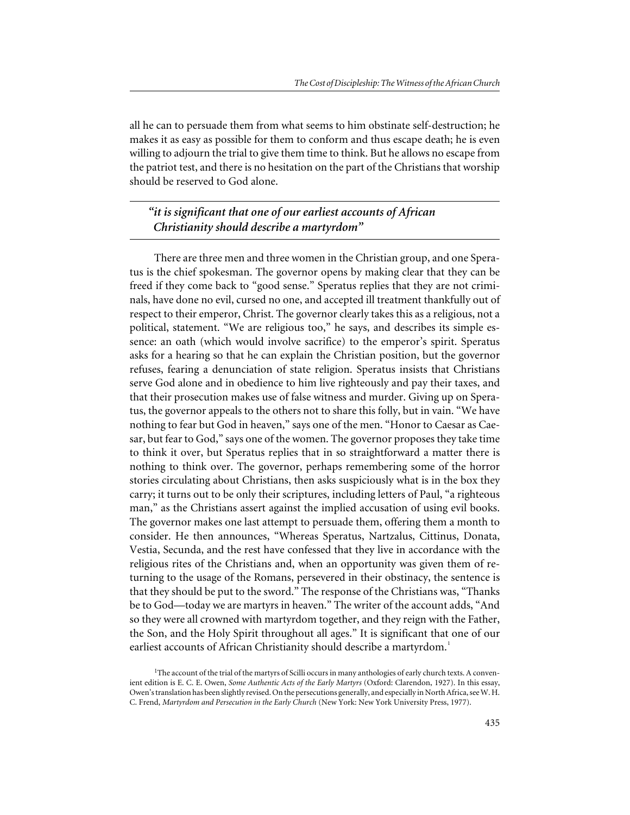all he can to persuade them from what seems to him obstinate self-destruction; he makes it as easy as possible for them to conform and thus escape death; he is even willing to adjourn the trial to give them time to think. But he allows no escape from the patriot test, and there is no hesitation on the part of the Christians that worship should be reserved to God alone.

*"it is significant that one of our earliest accounts of African Christianity should describe a martyrdom"*

There are three men and three women in the Christian group, and one Speratus is the chief spokesman. The governor opens by making clear that they can be freed if they come back to "good sense." Speratus replies that they are not criminals, have done no evil, cursed no one, and accepted ill treatment thankfully out of respect to their emperor, Christ. The governor clearly takes this as a religious, not a political, statement. "We are religious too," he says, and describes its simple essence: an oath (which would involve sacrifice) to the emperor's spirit. Speratus asks for a hearing so that he can explain the Christian position, but the governor refuses, fearing a denunciation of state religion. Speratus insists that Christians serve God alone and in obedience to him live righteously and pay their taxes, and that their prosecution makes use of false witness and murder. Giving up on Speratus, the governor appeals to the others not to share this folly, but in vain. "We have nothing to fear but God in heaven," says one of the men. "Honor to Caesar as Caesar, but fear to God," says one of the women. The governor proposes they take time to think it over, but Speratus replies that in so straightforward a matter there is nothing to think over. The governor, perhaps remembering some of the horror stories circulating about Christians, then asks suspiciously what is in the box they carry; it turns out to be only their scriptures, including letters of Paul, "a righteous man," as the Christians assert against the implied accusation of using evil books. The governor makes one last attempt to persuade them, offering them a month to consider. He then announces, "Whereas Speratus, Nartzalus, Cittinus, Donata, Vestia, Secunda, and the rest have confessed that they live in accordance with the religious rites of the Christians and, when an opportunity was given them of returning to the usage of the Romans, persevered in their obstinacy, the sentence is that they should be put to the sword." The response of the Christians was, "Thanks be to God—today we are martyrs in heaven." The writer of the account adds, "And so they were all crowned with martyrdom together, and they reign with the Father, the Son, and the Holy Spirit throughout all ages." It is significant that one of our earliest accounts of African Christianity should describe a martyrdom.<sup>1</sup>

<sup>&</sup>lt;sup>1</sup>The account of the trial of the martyrs of Scilli occurs in many anthologies of early church texts. A convenient edition is E. C. E. Owen, *Some Authentic Acts of the Early Martyrs* (Oxford: Clarendon, 1927). In this essay, Owen's translation has been slightly revised. On the persecutions generally, and especially in North Africa, see W. H. C. Frend, *Martyrdom and Persecution in the Early Church* (New York: New York University Press, 1977).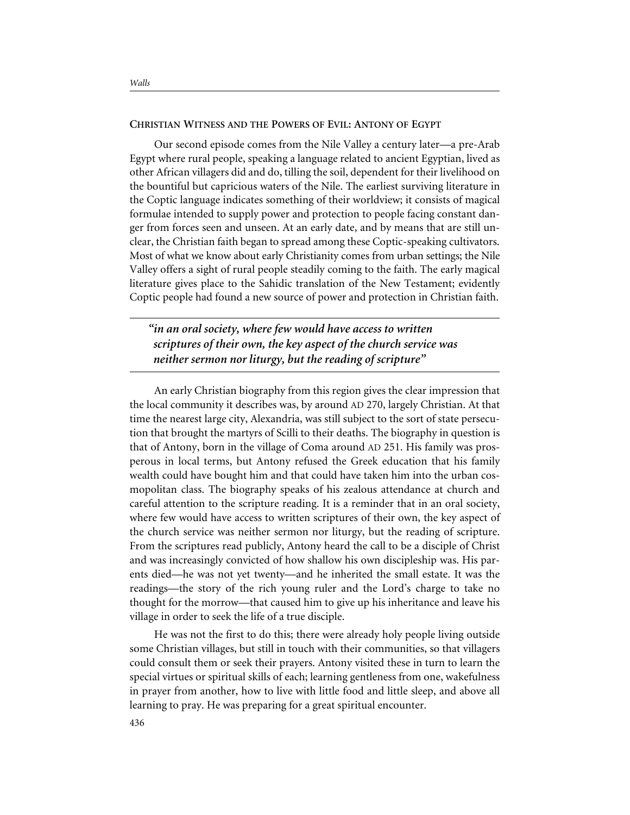#### **CHRISTIAN WITNESS AND THE POWERS OF EVIL: ANTONY OF EGYPT**

Our second episode comes from the Nile Valley a century later—a pre-Arab Egypt where rural people, speaking a language related to ancient Egyptian, lived as other African villagers did and do, tilling the soil, dependent for their livelihood on the bountiful but capricious waters of the Nile. The earliest surviving literature in the Coptic language indicates something of their worldview; it consists of magical formulae intended to supply power and protection to people facing constant danger from forces seen and unseen. At an early date, and by means that are still unclear, the Christian faith began to spread among these Coptic-speaking cultivators. Most of what we know about early Christianity comes from urban settings; the Nile Valley offers a sight of rural people steadily coming to the faith. The early magical literature gives place to the Sahidic translation of the New Testament; evidently Coptic people had found a new source of power and protection in Christian faith.

*"in an oral society, where few would have access to written scriptures of their own, the key aspect of the church service was neither sermon nor liturgy, but the reading of scripture"*

An early Christian biography from this region gives the clear impression that the local community it describes was, by around AD 270, largely Christian. At that time the nearest large city, Alexandria, was still subject to the sort of state persecution that brought the martyrs of Scilli to their deaths. The biography in question is that of Antony, born in the village of Coma around AD 251. His family was prosperous in local terms, but Antony refused the Greek education that his family wealth could have bought him and that could have taken him into the urban cosmopolitan class. The biography speaks of his zealous attendance at church and careful attention to the scripture reading. It is a reminder that in an oral society, where few would have access to written scriptures of their own, the key aspect of the church service was neither sermon nor liturgy, but the reading of scripture. From the scriptures read publicly, Antony heard the call to be a disciple of Christ and was increasingly convicted of how shallow his own discipleship was. His parents died—he was not yet twenty—and he inherited the small estate. It was the readings—the story of the rich young ruler and the Lord's charge to take no thought for the morrow—that caused him to give up his inheritance and leave his village in order to seek the life of a true disciple.

He was not the first to do this; there were already holy people living outside some Christian villages, but still in touch with their communities, so that villagers could consult them or seek their prayers. Antony visited these in turn to learn the special virtues or spiritual skills of each; learning gentleness from one, wakefulness in prayer from another, how to live with little food and little sleep, and above all learning to pray. He was preparing for a great spiritual encounter.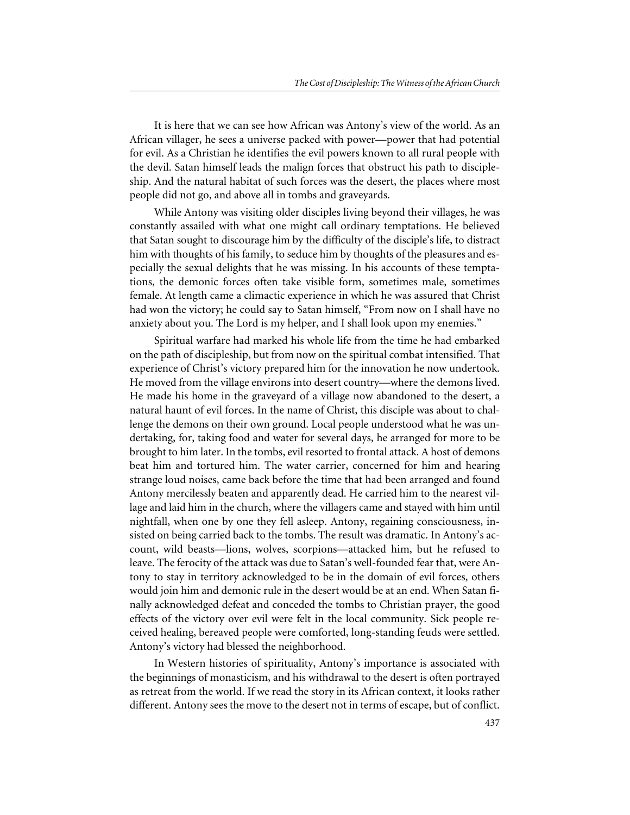It is here that we can see how African was Antony's view of the world. As an African villager, he sees a universe packed with power—power that had potential for evil. As a Christian he identifies the evil powers known to all rural people with the devil. Satan himself leads the malign forces that obstruct his path to discipleship. And the natural habitat of such forces was the desert, the places where most people did not go, and above all in tombs and graveyards.

While Antony was visiting older disciples living beyond their villages, he was constantly assailed with what one might call ordinary temptations. He believed that Satan sought to discourage him by the difficulty of the disciple's life, to distract him with thoughts of his family, to seduce him by thoughts of the pleasures and especially the sexual delights that he was missing. In his accounts of these temptations, the demonic forces often take visible form, sometimes male, sometimes female. At length came a climactic experience in which he was assured that Christ had won the victory; he could say to Satan himself, "From now on I shall have no anxiety about you. The Lord is my helper, and I shall look upon my enemies."

Spiritual warfare had marked his whole life from the time he had embarked on the path of discipleship, but from now on the spiritual combat intensified. That experience of Christ's victory prepared him for the innovation he now undertook. He moved from the village environs into desert country—where the demons lived. He made his home in the graveyard of a village now abandoned to the desert, a natural haunt of evil forces. In the name of Christ, this disciple was about to challenge the demons on their own ground. Local people understood what he was undertaking, for, taking food and water for several days, he arranged for more to be brought to him later. In the tombs, evil resorted to frontal attack. A host of demons beat him and tortured him. The water carrier, concerned for him and hearing strange loud noises, came back before the time that had been arranged and found Antony mercilessly beaten and apparently dead. He carried him to the nearest village and laid him in the church, where the villagers came and stayed with him until nightfall, when one by one they fell asleep. Antony, regaining consciousness, insisted on being carried back to the tombs. The result was dramatic. In Antony's account, wild beasts—lions, wolves, scorpions—attacked him, but he refused to leave. The ferocity of the attack was due to Satan's well-founded fear that, were Antony to stay in territory acknowledged to be in the domain of evil forces, others would join him and demonic rule in the desert would be at an end. When Satan finally acknowledged defeat and conceded the tombs to Christian prayer, the good effects of the victory over evil were felt in the local community. Sick people received healing, bereaved people were comforted, long-standing feuds were settled. Antony's victory had blessed the neighborhood.

In Western histories of spirituality, Antony's importance is associated with the beginnings of monasticism, and his withdrawal to the desert is often portrayed as retreat from the world. If we read the story in its African context, it looks rather different. Antony sees the move to the desert not in terms of escape, but of conflict.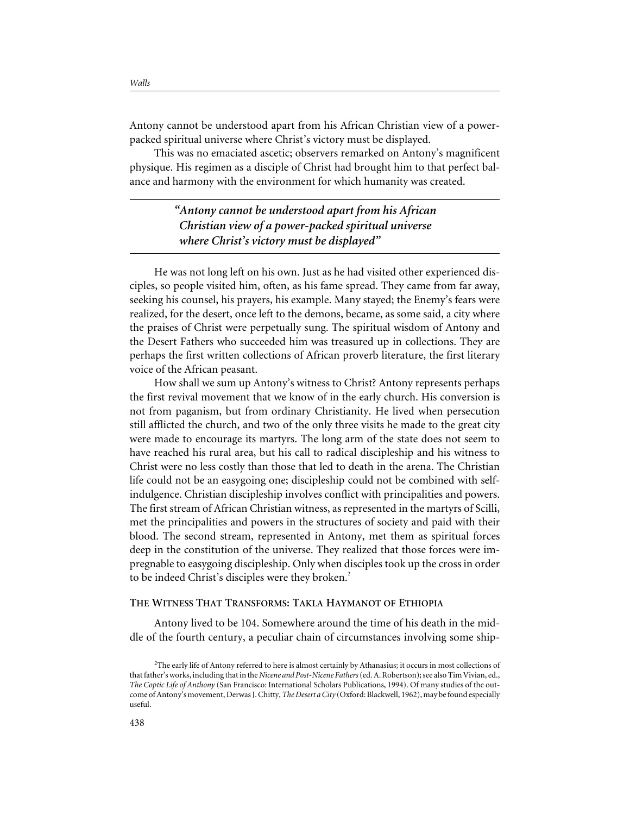Antony cannot be understood apart from his African Christian view of a powerpacked spiritual universe where Christ's victory must be displayed.

This was no emaciated ascetic; observers remarked on Antony's magnificent physique. His regimen as a disciple of Christ had brought him to that perfect balance and harmony with the environment for which humanity was created.

> *"Antony cannot be understood apart from his African Christian view of a power-packed spiritual universe where Christ's victory must be displayed"*

He was not long left on his own. Just as he had visited other experienced disciples, so people visited him, often, as his fame spread. They came from far away, seeking his counsel, his prayers, his example. Many stayed; the Enemy's fears were realized, for the desert, once left to the demons, became, as some said, a city where the praises of Christ were perpetually sung. The spiritual wisdom of Antony and the Desert Fathers who succeeded him was treasured up in collections. They are perhaps the first written collections of African proverb literature, the first literary voice of the African peasant.

How shall we sum up Antony's witness to Christ? Antony represents perhaps the first revival movement that we know of in the early church. His conversion is not from paganism, but from ordinary Christianity. He lived when persecution still afflicted the church, and two of the only three visits he made to the great city were made to encourage its martyrs. The long arm of the state does not seem to have reached his rural area, but his call to radical discipleship and his witness to Christ were no less costly than those that led to death in the arena. The Christian life could not be an easygoing one; discipleship could not be combined with selfindulgence. Christian discipleship involves conflict with principalities and powers. The first stream of African Christian witness, as represented in the martyrs of Scilli, met the principalities and powers in the structures of society and paid with their blood. The second stream, represented in Antony, met them as spiritual forces deep in the constitution of the universe. They realized that those forces were impregnable to easygoing discipleship. Only when disciples took up the cross in order to be indeed Christ's disciples were they broken.<sup>2</sup>

#### **THE WITNESS THAT TRANSFORMS: TAKLA HAYMANOT OF ETHIOPIA**

Antony lived to be 104. Somewhere around the time of his death in the middle of the fourth century, a peculiar chain of circumstances involving some ship-

<sup>&</sup>lt;sup>2</sup>The early life of Antony referred to here is almost certainly by Athanasius; it occurs in most collections of that father's works, including that in the *Nicene and Post-Nicene Fathers*(ed. A. Robertson); see also Tim Vivian, ed., *The Coptic Life of Anthony* (San Francisco: International Scholars Publications, 1994). Of many studies of the outcome of Antony's movement, Derwas J. Chitty,*The Desert a City* (Oxford: Blackwell, 1962), may be found especially useful.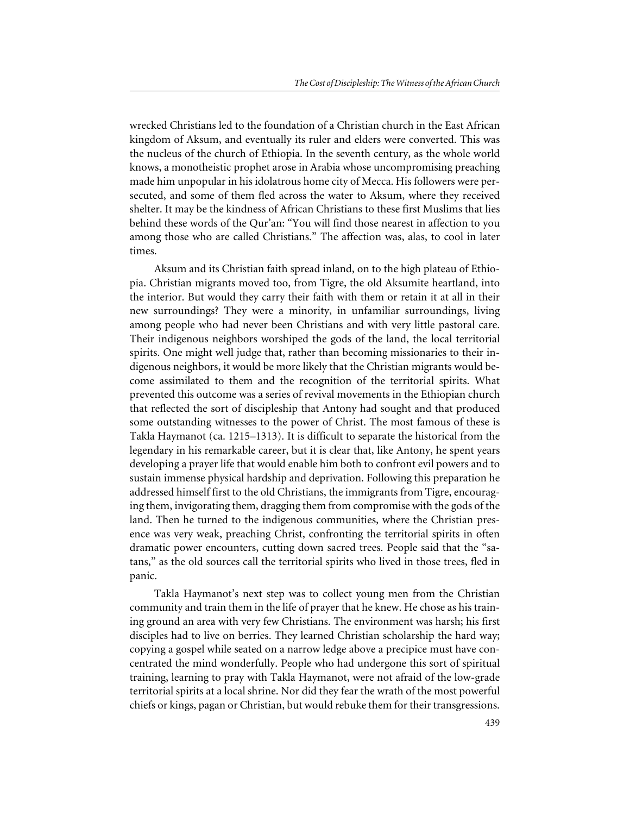wrecked Christians led to the foundation of a Christian church in the East African kingdom of Aksum, and eventually its ruler and elders were converted. This was the nucleus of the church of Ethiopia. In the seventh century, as the whole world knows, a monotheistic prophet arose in Arabia whose uncompromising preaching made him unpopular in his idolatrous home city of Mecca. His followers were persecuted, and some of them fled across the water to Aksum, where they received shelter. It may be the kindness of African Christians to these first Muslims that lies behind these words of the Qur'an: "You will find those nearest in affection to you among those who are called Christians." The affection was, alas, to cool in later times.

Aksum and its Christian faith spread inland, on to the high plateau of Ethiopia. Christian migrants moved too, from Tigre, the old Aksumite heartland, into the interior. But would they carry their faith with them or retain it at all in their new surroundings? They were a minority, in unfamiliar surroundings, living among people who had never been Christians and with very little pastoral care. Their indigenous neighbors worshiped the gods of the land, the local territorial spirits. One might well judge that, rather than becoming missionaries to their indigenous neighbors, it would be more likely that the Christian migrants would become assimilated to them and the recognition of the territorial spirits. What prevented this outcome was a series of revival movements in the Ethiopian church that reflected the sort of discipleship that Antony had sought and that produced some outstanding witnesses to the power of Christ. The most famous of these is Takla Haymanot (ca. 1215–1313). It is difficult to separate the historical from the legendary in his remarkable career, but it is clear that, like Antony, he spent years developing a prayer life that would enable him both to confront evil powers and to sustain immense physical hardship and deprivation. Following this preparation he addressed himself first to the old Christians, the immigrants from Tigre, encouraging them, invigorating them, dragging them from compromise with the gods of the land. Then he turned to the indigenous communities, where the Christian presence was very weak, preaching Christ, confronting the territorial spirits in often dramatic power encounters, cutting down sacred trees. People said that the "satans," as the old sources call the territorial spirits who lived in those trees, fled in panic.

Takla Haymanot's next step was to collect young men from the Christian community and train them in the life of prayer that he knew. He chose as his training ground an area with very few Christians. The environment was harsh; his first disciples had to live on berries. They learned Christian scholarship the hard way; copying a gospel while seated on a narrow ledge above a precipice must have concentrated the mind wonderfully. People who had undergone this sort of spiritual training, learning to pray with Takla Haymanot, were not afraid of the low-grade territorial spirits at a local shrine. Nor did they fear the wrath of the most powerful chiefs or kings, pagan or Christian, but would rebuke them for their transgressions.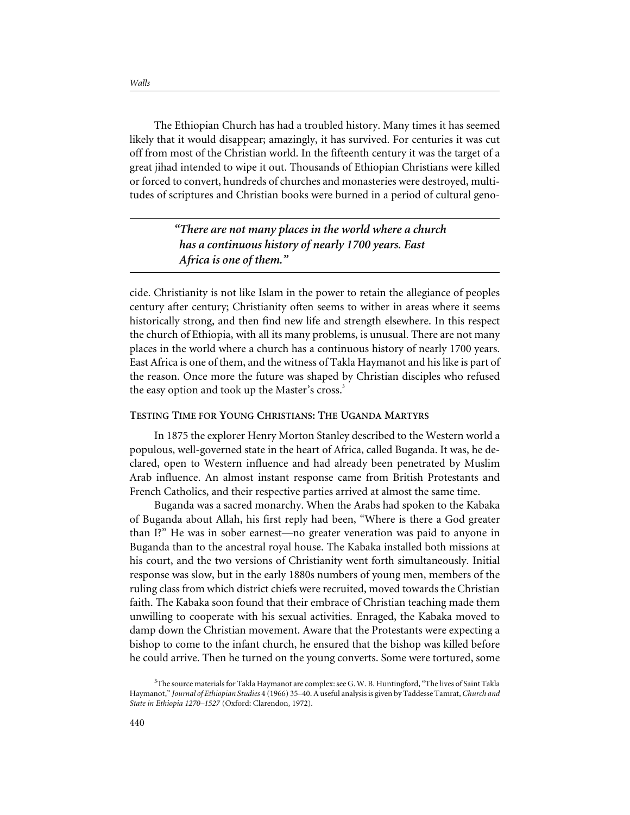The Ethiopian Church has had a troubled history. Many times it has seemed likely that it would disappear; amazingly, it has survived. For centuries it was cut off from most of the Christian world. In the fifteenth century it was the target of a great jihad intended to wipe it out. Thousands of Ethiopian Christians were killed or forced to convert, hundreds of churches and monasteries were destroyed, multitudes of scriptures and Christian books were burned in a period of cultural geno-

> *"There are not many places in the world where a church has a continuous history of nearly 1700 years. East Africa is one of them."*

cide. Christianity is not like Islam in the power to retain the allegiance of peoples century after century; Christianity often seems to wither in areas where it seems historically strong, and then find new life and strength elsewhere. In this respect the church of Ethiopia, with all its many problems, is unusual. There are not many places in the world where a church has a continuous history of nearly 1700 years. East Africa is one of them, and the witness of Takla Haymanot and his like is part of the reason. Once more the future was shaped by Christian disciples who refused the easy option and took up the Master's cross.<sup>3</sup>

#### **TESTING TIME FOR YOUNG CHRISTIANS: THE UGANDA MARTYRS**

In 1875 the explorer Henry Morton Stanley described to the Western world a populous, well-governed state in the heart of Africa, called Buganda. It was, he declared, open to Western influence and had already been penetrated by Muslim Arab influence. An almost instant response came from British Protestants and French Catholics, and their respective parties arrived at almost the same time.

Buganda was a sacred monarchy. When the Arabs had spoken to the Kabaka of Buganda about Allah, his first reply had been, "Where is there a God greater than I?" He was in sober earnest—no greater veneration was paid to anyone in Buganda than to the ancestral royal house. The Kabaka installed both missions at his court, and the two versions of Christianity went forth simultaneously. Initial response was slow, but in the early 1880s numbers of young men, members of the ruling class from which district chiefs were recruited, moved towards the Christian faith. The Kabaka soon found that their embrace of Christian teaching made them unwilling to cooperate with his sexual activities. Enraged, the Kabaka moved to damp down the Christian movement. Aware that the Protestants were expecting a bishop to come to the infant church, he ensured that the bishop was killed before he could arrive. Then he turned on the young converts. Some were tortured, some

<sup>&</sup>lt;sup>3</sup>The source materials for Takla Haymanot are complex: see G. W. B. Huntingford, "The lives of Saint Takla Haymanot," *Journal of Ethiopian Studies* 4 (1966) 35–40. A useful analysis is given by Taddesse Tamrat, *Church and State in Ethiopia 1270–1527* (Oxford: Clarendon, 1972).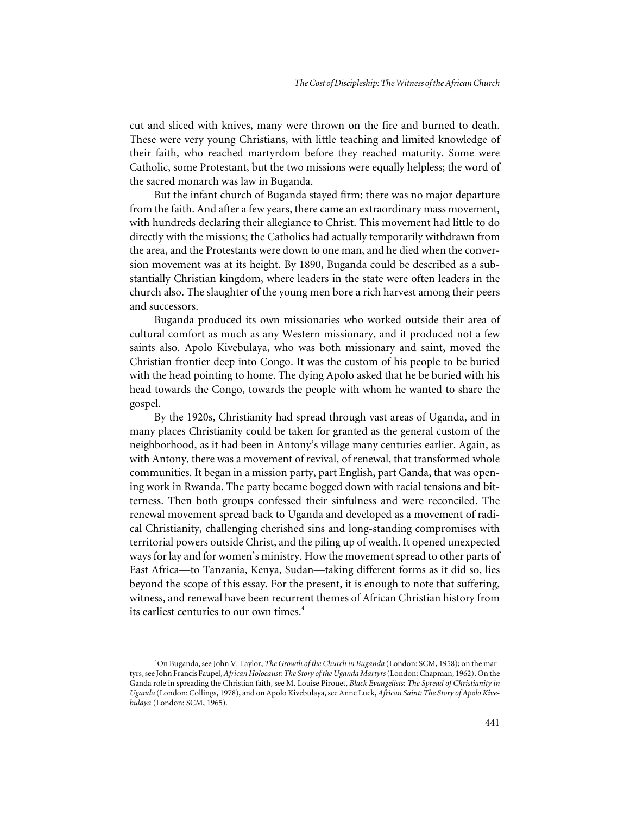cut and sliced with knives, many were thrown on the fire and burned to death. These were very young Christians, with little teaching and limited knowledge of their faith, who reached martyrdom before they reached maturity. Some were Catholic, some Protestant, but the two missions were equally helpless; the word of the sacred monarch was law in Buganda.

But the infant church of Buganda stayed firm; there was no major departure from the faith. And after a few years, there came an extraordinary mass movement, with hundreds declaring their allegiance to Christ. This movement had little to do directly with the missions; the Catholics had actually temporarily withdrawn from the area, and the Protestants were down to one man, and he died when the conversion movement was at its height. By 1890, Buganda could be described as a substantially Christian kingdom, where leaders in the state were often leaders in the church also. The slaughter of the young men bore a rich harvest among their peers and successors.

Buganda produced its own missionaries who worked outside their area of cultural comfort as much as any Western missionary, and it produced not a few saints also. Apolo Kivebulaya, who was both missionary and saint, moved the Christian frontier deep into Congo. It was the custom of his people to be buried with the head pointing to home. The dying Apolo asked that he be buried with his head towards the Congo, towards the people with whom he wanted to share the gospel.

By the 1920s, Christianity had spread through vast areas of Uganda, and in many places Christianity could be taken for granted as the general custom of the neighborhood, as it had been in Antony's village many centuries earlier. Again, as with Antony, there was a movement of revival, of renewal, that transformed whole communities. It began in a mission party, part English, part Ganda, that was opening work in Rwanda. The party became bogged down with racial tensions and bitterness. Then both groups confessed their sinfulness and were reconciled. The renewal movement spread back to Uganda and developed as a movement of radical Christianity, challenging cherished sins and long-standing compromises with territorial powers outside Christ, and the piling up of wealth. It opened unexpected ways for lay and for women's ministry. How the movement spread to other parts of East Africa—to Tanzania, Kenya, Sudan—taking different forms as it did so, lies beyond the scope of this essay. For the present, it is enough to note that suffering, witness, and renewal have been recurrent themes of African Christian history from its earliest centuries to our own times.<sup>4</sup>

<sup>4</sup> On Buganda, see John V. Taylor, *The Growth of the Church in Buganda* (London: SCM, 1958); on the martyrs, see John Francis Faupel,*African Holocaust: The Story of the Uganda Martyrs*(London: Chapman, 1962). On the Ganda role in spreading the Christian faith, see M. Louise Pirouet, *Black Evangelists: The Spread of Christianity in Uganda* (London: Collings, 1978), and on Apolo Kivebulaya, see Anne Luck, *African Saint: The Story of Apolo Kivebulaya* (London: SCM, 1965).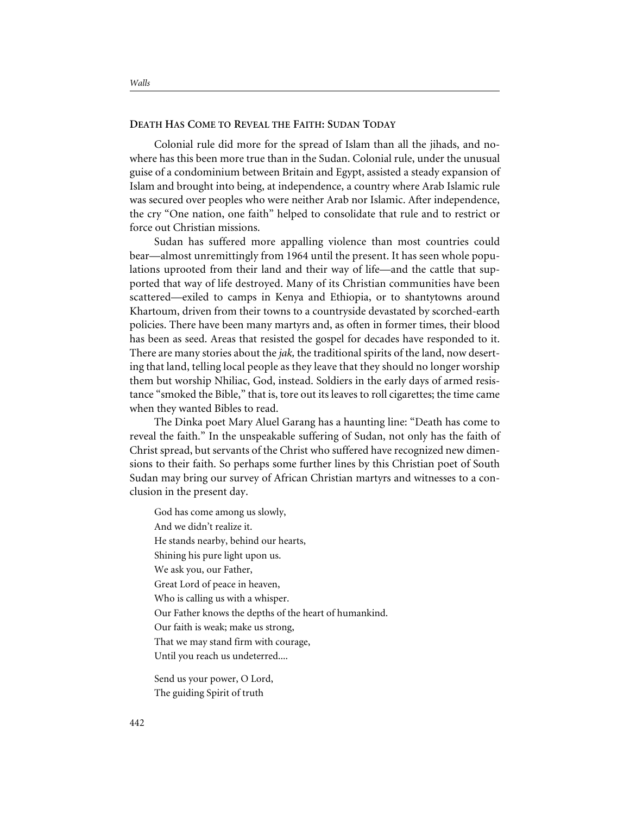#### **DEATH HAS COME TO REVEAL THE FAITH: SUDAN TODAY**

Colonial rule did more for the spread of Islam than all the jihads, and nowhere has this been more true than in the Sudan. Colonial rule, under the unusual guise of a condominium between Britain and Egypt, assisted a steady expansion of Islam and brought into being, at independence, a country where Arab Islamic rule was secured over peoples who were neither Arab nor Islamic. After independence, the cry "One nation, one faith" helped to consolidate that rule and to restrict or force out Christian missions.

Sudan has suffered more appalling violence than most countries could bear—almost unremittingly from 1964 until the present. It has seen whole populations uprooted from their land and their way of life—and the cattle that supported that way of life destroyed. Many of its Christian communities have been scattered—exiled to camps in Kenya and Ethiopia, or to shantytowns around Khartoum, driven from their towns to a countryside devastated by scorched-earth policies. There have been many martyrs and, as often in former times, their blood has been as seed. Areas that resisted the gospel for decades have responded to it. There are many stories about the *jak,* the traditional spirits of the land, now deserting that land, telling local people as they leave that they should no longer worship them but worship Nhiliac, God, instead. Soldiers in the early days of armed resistance "smoked the Bible," that is, tore out its leaves to roll cigarettes; the time came when they wanted Bibles to read.

The Dinka poet Mary Aluel Garang has a haunting line: "Death has come to reveal the faith." In the unspeakable suffering of Sudan, not only has the faith of Christ spread, but servants of the Christ who suffered have recognized new dimensions to their faith. So perhaps some further lines by this Christian poet of South Sudan may bring our survey of African Christian martyrs and witnesses to a conclusion in the present day.

God has come among us slowly, And we didn't realize it. He stands nearby, behind our hearts, Shining his pure light upon us. We ask you, our Father, Great Lord of peace in heaven, Who is calling us with a whisper. Our Father knows the depths of the heart of humankind. Our faith is weak; make us strong, That we may stand firm with courage, Until you reach us undeterred....

Send us your power, O Lord, The guiding Spirit of truth